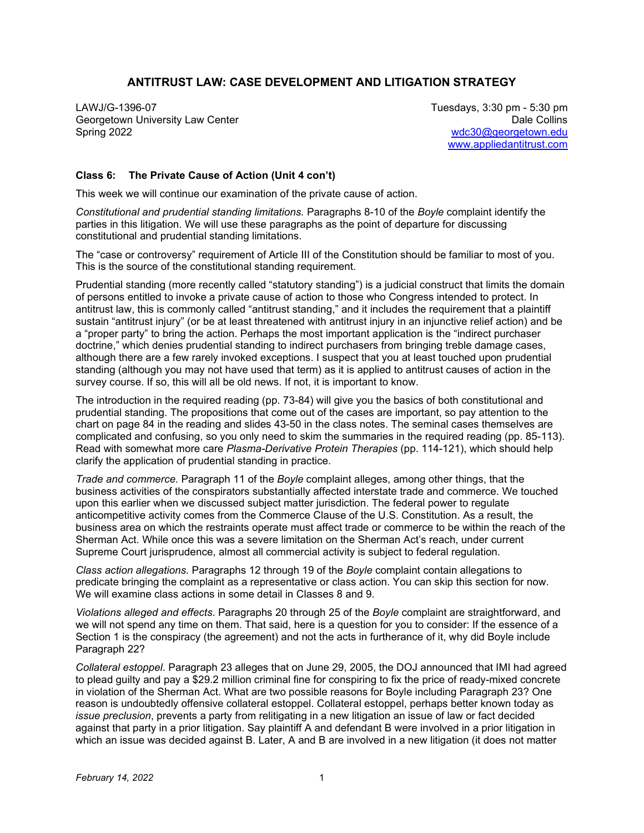## **ANTITRUST LAW: CASE DEVELOPMENT AND LITIGATION STRATEGY**

LAWJ/G-1396-07 Tuesdays, 3:30 pm - 5:30 pm Georgetown University Law Center **Date Collins** Contemporary Contemporary Collins Date Collins Spring 2022 [wdc30@georgetown.edu](mailto:wdc30@georgetown.edu) 

[www.appliedantitrust.com](http://www.appliedantitrust.com/)

## **Class 6: The Private Cause of Action (Unit 4 con't)**

This week we will continue our examination of the private cause of action.

*Constitutional and prudential standing limitations.* Paragraphs 8-10 of the *Boyle* complaint identify the parties in this litigation. We will use these paragraphs as the point of departure for discussing constitutional and prudential standing limitations.

The "case or controversy" requirement of Article III of the Constitution should be familiar to most of you. This is the source of the constitutional standing requirement.

Prudential standing (more recently called "statutory standing") is a judicial construct that limits the domain of persons entitled to invoke a private cause of action to those who Congress intended to protect. In antitrust law, this is commonly called "antitrust standing," and it includes the requirement that a plaintiff sustain "antitrust injury" (or be at least threatened with antitrust injury in an injunctive relief action) and be a "proper party" to bring the action. Perhaps the most important application is the "indirect purchaser doctrine," which denies prudential standing to indirect purchasers from bringing treble damage cases, although there are a few rarely invoked exceptions. I suspect that you at least touched upon prudential standing (although you may not have used that term) as it is applied to antitrust causes of action in the survey course. If so, this will all be old news. If not, it is important to know.

The introduction in the required reading (pp. 73-84) will give you the basics of both constitutional and prudential standing. The propositions that come out of the cases are important, so pay attention to the chart on page 84 in the reading and slides 43-50 in the class notes. The seminal cases themselves are complicated and confusing, so you only need to skim the summaries in the required reading (pp. 85-113). Read with somewhat more care *Plasma-Derivative Protein Therapies* (pp. 114-121), which should help clarify the application of prudential standing in practice.

*Trade and commerce.* Paragraph 11 of the *Boyle* complaint alleges, among other things, that the business activities of the conspirators substantially affected interstate trade and commerce. We touched upon this earlier when we discussed subject matter jurisdiction. The federal power to regulate anticompetitive activity comes from the Commerce Clause of the U.S. Constitution. As a result, the business area on which the restraints operate must affect trade or commerce to be within the reach of the Sherman Act. While once this was a severe limitation on the Sherman Act's reach, under current Supreme Court jurisprudence, almost all commercial activity is subject to federal regulation.

*Class action allegations.* Paragraphs 12 through 19 of the *Boyle* complaint contain allegations to predicate bringing the complaint as a representative or class action. You can skip this section for now. We will examine class actions in some detail in Classes 8 and 9.

*Violations alleged and effects*. Paragraphs 20 through 25 of the *Boyle* complaint are straightforward, and we will not spend any time on them. That said, here is a question for you to consider: If the essence of a Section 1 is the conspiracy (the agreement) and not the acts in furtherance of it, why did Boyle include Paragraph 22?

*Collateral estoppel*. Paragraph 23 alleges that on June 29, 2005, the DOJ announced that IMI had agreed to plead guilty and pay a \$29.2 million criminal fine for conspiring to fix the price of ready-mixed concrete in violation of the Sherman Act. What are two possible reasons for Boyle including Paragraph 23? One reason is undoubtedly offensive collateral estoppel. Collateral estoppel, perhaps better known today as *issue preclusion*, prevents a party from relitigating in a new litigation an issue of law or fact decided against that party in a prior litigation. Say plaintiff A and defendant B were involved in a prior litigation in which an issue was decided against B. Later, A and B are involved in a new litigation (it does not matter